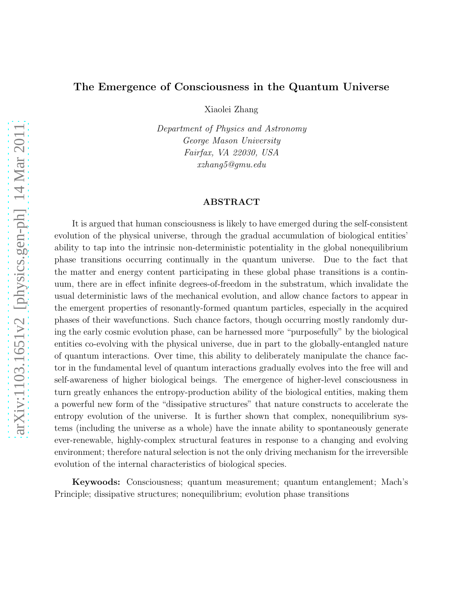# The Emergence of Consciousness in the Quantum Universe

Xiaolei Zhang

Department of Physics and Astronomy George Mason University Fairfax, VA 22030, USA xzhang5@gmu.edu

#### ABSTRACT

It is argued that human consciousness is likely to have emerged during the self-consistent evolution of the physical universe, through the gradual accumulation of biological entities' ability to tap into the intrinsic non-deterministic potentiality in the global nonequilibrium phase transitions occurring continually in the quantum universe. Due to the fact that the matter and energy content participating in these global phase transitions is a continuum, there are in effect infinite degrees-of-freedom in the substratum, which invalidate the usual deterministic laws of the mechanical evolution, and allow chance factors to appear in the emergent properties of resonantly-formed quantum particles, especially in the acquired phases of their wavefunctions. Such chance factors, though occurring mostly randomly during the early cosmic evolution phase, can be harnessed more "purposefully" by the biological entities co-evolving with the physical universe, due in part to the globally-entangled nature of quantum interactions. Over time, this ability to deliberately manipulate the chance factor in the fundamental level of quantum interactions gradually evolves into the free will and self-awareness of higher biological beings. The emergence of higher-level consciousness in turn greatly enhances the entropy-production ability of the biological entities, making them a powerful new form of the "dissipative structures" that nature constructs to accelerate the entropy evolution of the universe. It is further shown that complex, nonequilibrium systems (including the universe as a whole) have the innate ability to spontaneously generate ever-renewable, highly-complex structural features in response to a changing and evolving environment; therefore natural selection is not the only driving mechanism for the irreversible evolution of the internal characteristics of biological species.

Keywoods: Consciousness; quantum measurement; quantum entanglement; Mach's Principle; dissipative structures; nonequilibrium; evolution phase transitions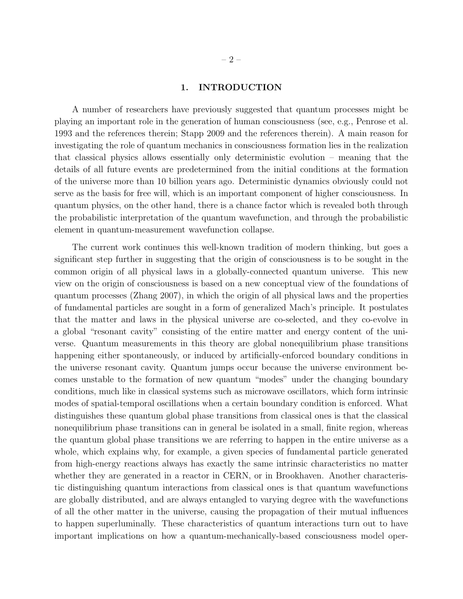### 1. INTRODUCTION

A number of researchers have previously suggested that quantum processes might be playing an important role in the generation of human consciousness (see, e.g., Penrose et al. 1993 and the references therein; Stapp 2009 and the references therein). A main reason for investigating the role of quantum mechanics in consciousness formation lies in the realization that classical physics allows essentially only deterministic evolution – meaning that the details of all future events are predetermined from the initial conditions at the formation of the universe more than 10 billion years ago. Deterministic dynamics obviously could not serve as the basis for free will, which is an important component of higher consciousness. In quantum physics, on the other hand, there is a chance factor which is revealed both through the probabilistic interpretation of the quantum wavefunction, and through the probabilistic element in quantum-measurement wavefunction collapse.

The current work continues this well-known tradition of modern thinking, but goes a significant step further in suggesting that the origin of consciousness is to be sought in the common origin of all physical laws in a globally-connected quantum universe. This new view on the origin of consciousness is based on a new conceptual view of the foundations of quantum processes (Zhang 2007), in which the origin of all physical laws and the properties of fundamental particles are sought in a form of generalized Mach's principle. It postulates that the matter and laws in the physical universe are co-selected, and they co-evolve in a global "resonant cavity" consisting of the entire matter and energy content of the universe. Quantum measurements in this theory are global nonequilibrium phase transitions happening either spontaneously, or induced by artificially-enforced boundary conditions in the universe resonant cavity. Quantum jumps occur because the universe environment becomes unstable to the formation of new quantum "modes" under the changing boundary conditions, much like in classical systems such as microwave oscillators, which form intrinsic modes of spatial-temporal oscillations when a certain boundary condition is enforced. What distinguishes these quantum global phase transitions from classical ones is that the classical nonequilibrium phase transitions can in general be isolated in a small, finite region, whereas the quantum global phase transitions we are referring to happen in the entire universe as a whole, which explains why, for example, a given species of fundamental particle generated from high-energy reactions always has exactly the same intrinsic characteristics no matter whether they are generated in a reactor in CERN, or in Brookhaven. Another characteristic distinguishing quantum interactions from classical ones is that quantum wavefunctions are globally distributed, and are always entangled to varying degree with the wavefunctions of all the other matter in the universe, causing the propagation of their mutual influences to happen superluminally. These characteristics of quantum interactions turn out to have important implications on how a quantum-mechanically-based consciousness model oper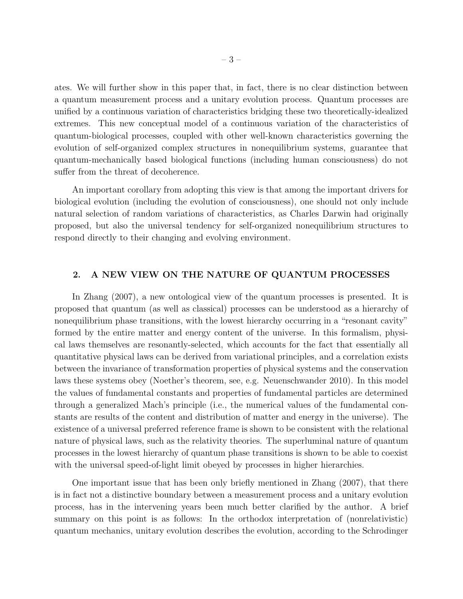ates. We will further show in this paper that, in fact, there is no clear distinction between a quantum measurement process and a unitary evolution process. Quantum processes are unified by a continuous variation of characteristics bridging these two theoretically-idealized extremes. This new conceptual model of a continuous variation of the characteristics of quantum-biological processes, coupled with other well-known characteristics governing the evolution of self-organized complex structures in nonequilibrium systems, guarantee that quantum-mechanically based biological functions (including human consciousness) do not suffer from the threat of decoherence.

An important corollary from adopting this view is that among the important drivers for biological evolution (including the evolution of consciousness), one should not only include natural selection of random variations of characteristics, as Charles Darwin had originally proposed, but also the universal tendency for self-organized nonequilibrium structures to respond directly to their changing and evolving environment.

### 2. A NEW VIEW ON THE NATURE OF QUANTUM PROCESSES

In Zhang (2007), a new ontological view of the quantum processes is presented. It is proposed that quantum (as well as classical) processes can be understood as a hierarchy of nonequilibrium phase transitions, with the lowest hierarchy occurring in a "resonant cavity" formed by the entire matter and energy content of the universe. In this formalism, physical laws themselves are resonantly-selected, which accounts for the fact that essentially all quantitative physical laws can be derived from variational principles, and a correlation exists between the invariance of transformation properties of physical systems and the conservation laws these systems obey (Noether's theorem, see, e.g. Neuenschwander 2010). In this model the values of fundamental constants and properties of fundamental particles are determined through a generalized Mach's principle (i.e., the numerical values of the fundamental constants are results of the content and distribution of matter and energy in the universe). The existence of a universal preferred reference frame is shown to be consistent with the relational nature of physical laws, such as the relativity theories. The superluminal nature of quantum processes in the lowest hierarchy of quantum phase transitions is shown to be able to coexist with the universal speed-of-light limit obeyed by processes in higher hierarchies.

One important issue that has been only briefly mentioned in Zhang (2007), that there is in fact not a distinctive boundary between a measurement process and a unitary evolution process, has in the intervening years been much better clarified by the author. A brief summary on this point is as follows: In the orthodox interpretation of (nonrelativistic) quantum mechanics, unitary evolution describes the evolution, according to the Schrodinger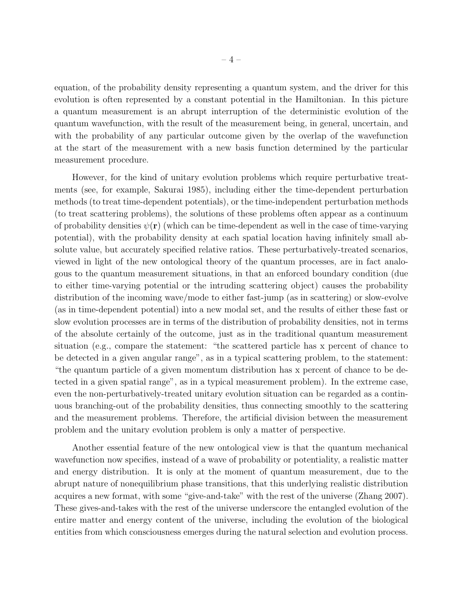equation, of the probability density representing a quantum system, and the driver for this evolution is often represented by a constant potential in the Hamiltonian. In this picture a quantum measurement is an abrupt interruption of the deterministic evolution of the quantum wavefunction, with the result of the measurement being, in general, uncertain, and with the probability of any particular outcome given by the overlap of the wavefunction at the start of the measurement with a new basis function determined by the particular measurement procedure.

However, for the kind of unitary evolution problems which require perturbative treatments (see, for example, Sakurai 1985), including either the time-dependent perturbation methods (to treat time-dependent potentials), or the time-independent perturbation methods (to treat scattering problems), the solutions of these problems often appear as a continuum of probability densities  $\psi(\mathbf{r})$  (which can be time-dependent as well in the case of time-varying potential), with the probability density at each spatial location having infinitely small absolute value, but accurately specified relative ratios. These perturbatively-treated scenarios, viewed in light of the new ontological theory of the quantum processes, are in fact analogous to the quantum measurement situations, in that an enforced boundary condition (due to either time-varying potential or the intruding scattering object) causes the probability distribution of the incoming wave/mode to either fast-jump (as in scattering) or slow-evolve (as in time-dependent potential) into a new modal set, and the results of either these fast or slow evolution processes are in terms of the distribution of probability densities, not in terms of the absolute certainly of the outcome, just as in the traditional quantum measurement situation (e.g., compare the statement: "the scattered particle has x percent of chance to be detected in a given angular range", as in a typical scattering problem, to the statement: "the quantum particle of a given momentum distribution has x percent of chance to be detected in a given spatial range", as in a typical measurement problem). In the extreme case, even the non-perturbatively-treated unitary evolution situation can be regarded as a continuous branching-out of the probability densities, thus connecting smoothly to the scattering and the measurement problems. Therefore, the artificial division between the measurement problem and the unitary evolution problem is only a matter of perspective.

Another essential feature of the new ontological view is that the quantum mechanical wavefunction now specifies, instead of a wave of probability or potentiality, a realistic matter and energy distribution. It is only at the moment of quantum measurement, due to the abrupt nature of nonequilibrium phase transitions, that this underlying realistic distribution acquires a new format, with some "give-and-take" with the rest of the universe (Zhang 2007). These gives-and-takes with the rest of the universe underscore the entangled evolution of the entire matter and energy content of the universe, including the evolution of the biological entities from which consciousness emerges during the natural selection and evolution process.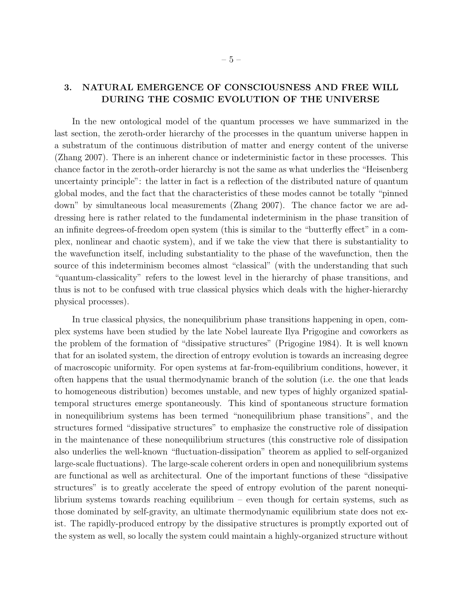## 3. NATURAL EMERGENCE OF CONSCIOUSNESS AND FREE WILL DURING THE COSMIC EVOLUTION OF THE UNIVERSE

In the new ontological model of the quantum processes we have summarized in the last section, the zeroth-order hierarchy of the processes in the quantum universe happen in a substratum of the continuous distribution of matter and energy content of the universe (Zhang 2007). There is an inherent chance or indeterministic factor in these processes. This chance factor in the zeroth-order hierarchy is not the same as what underlies the "Heisenberg uncertainty principle": the latter in fact is a reflection of the distributed nature of quantum global modes, and the fact that the characteristics of these modes cannot be totally "pinned down" by simultaneous local measurements (Zhang 2007). The chance factor we are addressing here is rather related to the fundamental indeterminism in the phase transition of an infinite degrees-of-freedom open system (this is similar to the "butterfly effect" in a complex, nonlinear and chaotic system), and if we take the view that there is substantiality to the wavefunction itself, including substantiality to the phase of the wavefunction, then the source of this indeterminism becomes almost "classical" (with the understanding that such "quantum-classicality" refers to the lowest level in the hierarchy of phase transitions, and thus is not to be confused with true classical physics which deals with the higher-hierarchy physical processes).

In true classical physics, the nonequilibrium phase transitions happening in open, complex systems have been studied by the late Nobel laureate Ilya Prigogine and coworkers as the problem of the formation of "dissipative structures" (Prigogine 1984). It is well known that for an isolated system, the direction of entropy evolution is towards an increasing degree of macroscopic uniformity. For open systems at far-from-equilibrium conditions, however, it often happens that the usual thermodynamic branch of the solution (i.e. the one that leads to homogeneous distribution) becomes unstable, and new types of highly organized spatialtemporal structures emerge spontaneously. This kind of spontaneous structure formation in nonequilibrium systems has been termed "nonequilibrium phase transitions", and the structures formed "dissipative structures" to emphasize the constructive role of dissipation in the maintenance of these nonequilibrium structures (this constructive role of dissipation also underlies the well-known "fluctuation-dissipation" theorem as applied to self-organized large-scale fluctuations). The large-scale coherent orders in open and nonequilibrium systems are functional as well as architectural. One of the important functions of these "dissipative structures" is to greatly accelerate the speed of entropy evolution of the parent nonequilibrium systems towards reaching equilibrium – even though for certain systems, such as those dominated by self-gravity, an ultimate thermodynamic equilibrium state does not exist. The rapidly-produced entropy by the dissipative structures is promptly exported out of the system as well, so locally the system could maintain a highly-organized structure without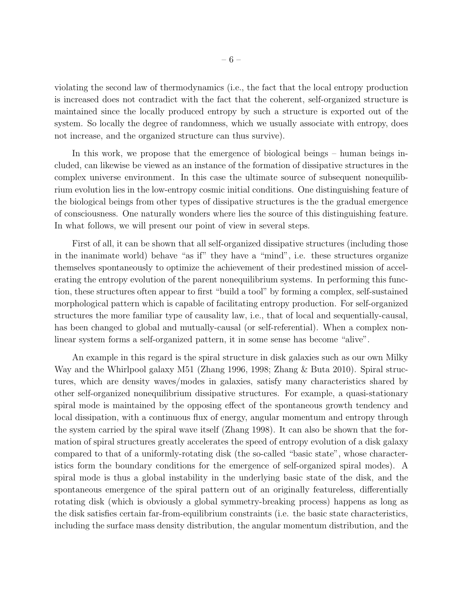violating the second law of thermodynamics (i.e., the fact that the local entropy production is increased does not contradict with the fact that the coherent, self-organized structure is maintained since the locally produced entropy by such a structure is exported out of the system. So locally the degree of randomness, which we usually associate with entropy, does not increase, and the organized structure can thus survive).

In this work, we propose that the emergence of biological beings – human beings included, can likewise be viewed as an instance of the formation of dissipative structures in the complex universe environment. In this case the ultimate source of subsequent nonequilibrium evolution lies in the low-entropy cosmic initial conditions. One distinguishing feature of the biological beings from other types of dissipative structures is the the gradual emergence of consciousness. One naturally wonders where lies the source of this distinguishing feature. In what follows, we will present our point of view in several steps.

First of all, it can be shown that all self-organized dissipative structures (including those in the inanimate world) behave "as if" they have a "mind", i.e. these structures organize themselves spontaneously to optimize the achievement of their predestined mission of accelerating the entropy evolution of the parent nonequilibrium systems. In performing this function, these structures often appear to first "build a tool" by forming a complex, self-sustained morphological pattern which is capable of facilitating entropy production. For self-organized structures the more familiar type of causality law, i.e., that of local and sequentially-causal, has been changed to global and mutually-causal (or self-referential). When a complex nonlinear system forms a self-organized pattern, it in some sense has become "alive".

An example in this regard is the spiral structure in disk galaxies such as our own Milky Way and the Whirlpool galaxy M51 (Zhang 1996, 1998; Zhang & Buta 2010). Spiral structures, which are density waves/modes in galaxies, satisfy many characteristics shared by other self-organized nonequilibrium dissipative structures. For example, a quasi-stationary spiral mode is maintained by the opposing effect of the spontaneous growth tendency and local dissipation, with a continuous flux of energy, angular momentum and entropy through the system carried by the spiral wave itself (Zhang 1998). It can also be shown that the formation of spiral structures greatly accelerates the speed of entropy evolution of a disk galaxy compared to that of a uniformly-rotating disk (the so-called "basic state", whose characteristics form the boundary conditions for the emergence of self-organized spiral modes). A spiral mode is thus a global instability in the underlying basic state of the disk, and the spontaneous emergence of the spiral pattern out of an originally featureless, differentially rotating disk (which is obviously a global symmetry-breaking process) happens as long as the disk satisfies certain far-from-equilibrium constraints (i.e. the basic state characteristics, including the surface mass density distribution, the angular momentum distribution, and the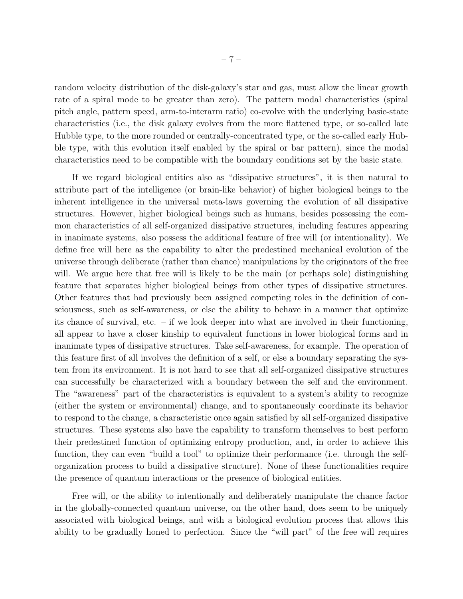random velocity distribution of the disk-galaxy's star and gas, must allow the linear growth rate of a spiral mode to be greater than zero). The pattern modal characteristics (spiral pitch angle, pattern speed, arm-to-interarm ratio) co-evolve with the underlying basic-state characteristics (i.e., the disk galaxy evolves from the more flattened type, or so-called late Hubble type, to the more rounded or centrally-concentrated type, or the so-called early Hubble type, with this evolution itself enabled by the spiral or bar pattern), since the modal characteristics need to be compatible with the boundary conditions set by the basic state.

If we regard biological entities also as "dissipative structures", it is then natural to attribute part of the intelligence (or brain-like behavior) of higher biological beings to the inherent intelligence in the universal meta-laws governing the evolution of all dissipative structures. However, higher biological beings such as humans, besides possessing the common characteristics of all self-organized dissipative structures, including features appearing in inanimate systems, also possess the additional feature of free will (or intentionality). We define free will here as the capability to alter the predestined mechanical evolution of the universe through deliberate (rather than chance) manipulations by the originators of the free will. We argue here that free will is likely to be the main (or perhaps sole) distinguishing feature that separates higher biological beings from other types of dissipative structures. Other features that had previously been assigned competing roles in the definition of consciousness, such as self-awareness, or else the ability to behave in a manner that optimize its chance of survival, etc. – if we look deeper into what are involved in their functioning, all appear to have a closer kinship to equivalent functions in lower biological forms and in inanimate types of dissipative structures. Take self-awareness, for example. The operation of this feature first of all involves the definition of a self, or else a boundary separating the system from its environment. It is not hard to see that all self-organized dissipative structures can successfully be characterized with a boundary between the self and the environment. The "awareness" part of the characteristics is equivalent to a system's ability to recognize (either the system or environmental) change, and to spontaneously coordinate its behavior to respond to the change, a characteristic once again satisfied by all self-organized dissipative structures. These systems also have the capability to transform themselves to best perform their predestined function of optimizing entropy production, and, in order to achieve this function, they can even "build a tool" to optimize their performance (i.e. through the selforganization process to build a dissipative structure). None of these functionalities require the presence of quantum interactions or the presence of biological entities.

Free will, or the ability to intentionally and deliberately manipulate the chance factor in the globally-connected quantum universe, on the other hand, does seem to be uniquely associated with biological beings, and with a biological evolution process that allows this ability to be gradually honed to perfection. Since the "will part" of the free will requires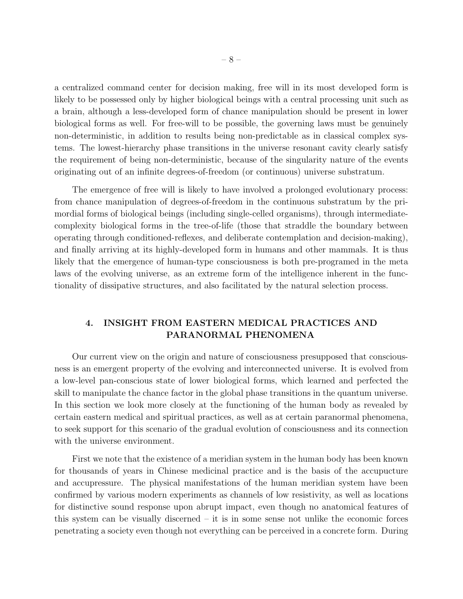a centralized command center for decision making, free will in its most developed form is likely to be possessed only by higher biological beings with a central processing unit such as a brain, although a less-developed form of chance manipulation should be present in lower biological forms as well. For free-will to be possible, the governing laws must be genuinely non-deterministic, in addition to results being non-predictable as in classical complex systems. The lowest-hierarchy phase transitions in the universe resonant cavity clearly satisfy the requirement of being non-deterministic, because of the singularity nature of the events originating out of an infinite degrees-of-freedom (or continuous) universe substratum.

The emergence of free will is likely to have involved a prolonged evolutionary process: from chance manipulation of degrees-of-freedom in the continuous substratum by the primordial forms of biological beings (including single-celled organisms), through intermediatecomplexity biological forms in the tree-of-life (those that straddle the boundary between operating through conditioned-reflexes, and deliberate contemplation and decision-making), and finally arriving at its highly-developed form in humans and other mammals. It is thus likely that the emergence of human-type consciousness is both pre-programed in the meta laws of the evolving universe, as an extreme form of the intelligence inherent in the functionality of dissipative structures, and also facilitated by the natural selection process.

### 4. INSIGHT FROM EASTERN MEDICAL PRACTICES AND PARANORMAL PHENOMENA

Our current view on the origin and nature of consciousness presupposed that consciousness is an emergent property of the evolving and interconnected universe. It is evolved from a low-level pan-conscious state of lower biological forms, which learned and perfected the skill to manipulate the chance factor in the global phase transitions in the quantum universe. In this section we look more closely at the functioning of the human body as revealed by certain eastern medical and spiritual practices, as well as at certain paranormal phenomena, to seek support for this scenario of the gradual evolution of consciousness and its connection with the universe environment.

First we note that the existence of a meridian system in the human body has been known for thousands of years in Chinese medicinal practice and is the basis of the accupucture and accupressure. The physical manifestations of the human meridian system have been confirmed by various modern experiments as channels of low resistivity, as well as locations for distinctive sound response upon abrupt impact, even though no anatomical features of this system can be visually discerned – it is in some sense not unlike the economic forces penetrating a society even though not everything can be perceived in a concrete form. During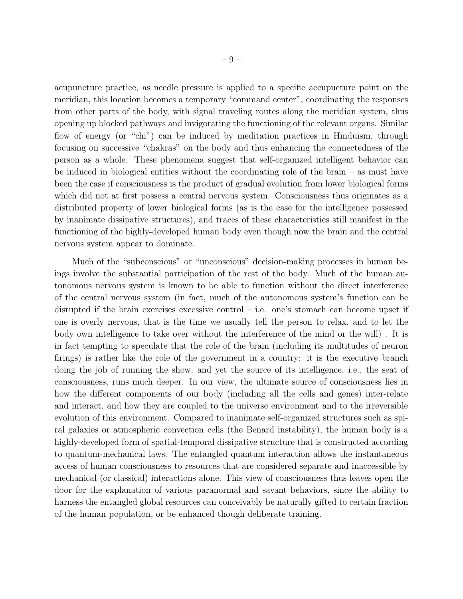acupuncture practice, as needle pressure is applied to a specific accupucture point on the meridian, this location becomes a temporary "command center", coordinating the responses from other parts of the body, with signal traveling routes along the meridian system, thus opening up blocked pathways and invigorating the functioning of the relevant organs. Similar flow of energy (or "chi") can be induced by meditation practices in Hinduism, through focusing on successive "chakras" on the body and thus enhancing the connectedness of the person as a whole. These phenomena suggest that self-organized intelligent behavior can be induced in biological entities without the coordinating role of the brain – as must have been the case if consciousness is the product of gradual evolution from lower biological forms which did not at first possess a central nervous system. Consciousness thus originates as a distributed property of lower biological forms (as is the case for the intelligence possessed by inanimate dissipative structures), and traces of these characteristics still manifest in the functioning of the highly-developed human body even though now the brain and the central nervous system appear to dominate.

Much of the "subconscious" or "unconscious" decision-making processes in human beings involve the substantial participation of the rest of the body. Much of the human autonomous nervous system is known to be able to function without the direct interference of the central nervous system (in fact, much of the autonomous system's function can be disrupted if the brain exercises excessive control – i.e. one's stomach can become upset if one is overly nervous, that is the time we usually tell the person to relax, and to let the body own intelligence to take over without the interference of the mind or the will) . It is in fact tempting to speculate that the role of the brain (including its multitudes of neuron firings) is rather like the role of the government in a country: it is the executive branch doing the job of running the show, and yet the source of its intelligence, i.e., the seat of consciousness, runs much deeper. In our view, the ultimate source of consciousness lies in how the different components of our body (including all the cells and genes) inter-relate and interact, and how they are coupled to the universe environment and to the irreversible evolution of this environment. Compared to inanimate self-organized structures such as spiral galaxies or atmospheric convection cells (the Benard instability), the human body is a highly-developed form of spatial-temporal dissipative structure that is constructed according to quantum-mechanical laws. The entangled quantum interaction allows the instantaneous access of human consciousness to resources that are considered separate and inaccessible by mechanical (or classical) interactions alone. This view of consciousness thus leaves open the door for the explanation of various paranormal and savant behaviors, since the ability to harness the entangled global resources can conceivably be naturally gifted to certain fraction of the human population, or be enhanced though deliberate training.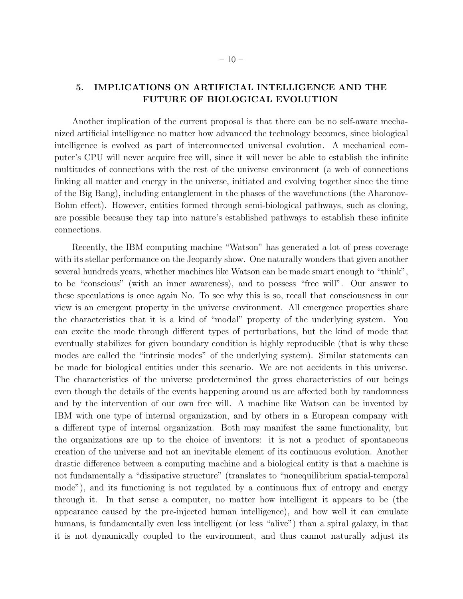## 5. IMPLICATIONS ON ARTIFICIAL INTELLIGENCE AND THE FUTURE OF BIOLOGICAL EVOLUTION

Another implication of the current proposal is that there can be no self-aware mechanized artificial intelligence no matter how advanced the technology becomes, since biological intelligence is evolved as part of interconnected universal evolution. A mechanical computer's CPU will never acquire free will, since it will never be able to establish the infinite multitudes of connections with the rest of the universe environment (a web of connections linking all matter and energy in the universe, initiated and evolving together since the time of the Big Bang), including entanglement in the phases of the wavefunctions (the Aharonov-Bohm effect). However, entities formed through semi-biological pathways, such as cloning, are possible because they tap into nature's established pathways to establish these infinite connections.

Recently, the IBM computing machine "Watson" has generated a lot of press coverage with its stellar performance on the Jeopardy show. One naturally wonders that given another several hundreds years, whether machines like Watson can be made smart enough to "think", to be "conscious" (with an inner awareness), and to possess "free will". Our answer to these speculations is once again No. To see why this is so, recall that consciousness in our view is an emergent property in the universe environment. All emergence properties share the characteristics that it is a kind of "modal" property of the underlying system. You can excite the mode through different types of perturbations, but the kind of mode that eventually stabilizes for given boundary condition is highly reproducible (that is why these modes are called the "intrinsic modes" of the underlying system). Similar statements can be made for biological entities under this scenario. We are not accidents in this universe. The characteristics of the universe predetermined the gross characteristics of our beings even though the details of the events happening around us are affected both by randomness and by the intervention of our own free will. A machine like Watson can be invented by IBM with one type of internal organization, and by others in a European company with a different type of internal organization. Both may manifest the same functionality, but the organizations are up to the choice of inventors: it is not a product of spontaneous creation of the universe and not an inevitable element of its continuous evolution. Another drastic difference between a computing machine and a biological entity is that a machine is not fundamentally a "dissipative structure" (translates to "nonequilibrium spatial-temporal mode"), and its functioning is not regulated by a continuous flux of entropy and energy through it. In that sense a computer, no matter how intelligent it appears to be (the appearance caused by the pre-injected human intelligence), and how well it can emulate humans, is fundamentally even less intelligent (or less "alive") than a spiral galaxy, in that it is not dynamically coupled to the environment, and thus cannot naturally adjust its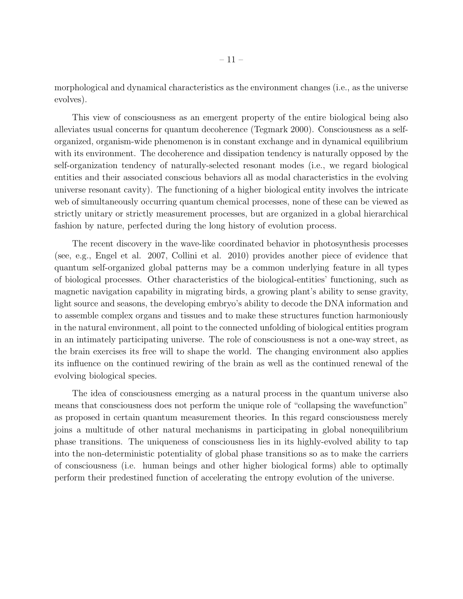morphological and dynamical characteristics as the environment changes (i.e., as the universe evolves).

This view of consciousness as an emergent property of the entire biological being also alleviates usual concerns for quantum decoherence (Tegmark 2000). Consciousness as a selforganized, organism-wide phenomenon is in constant exchange and in dynamical equilibrium with its environment. The decoherence and dissipation tendency is naturally opposed by the self-organization tendency of naturally-selected resonant modes (i.e., we regard biological entities and their associated conscious behaviors all as modal characteristics in the evolving universe resonant cavity). The functioning of a higher biological entity involves the intricate web of simultaneously occurring quantum chemical processes, none of these can be viewed as strictly unitary or strictly measurement processes, but are organized in a global hierarchical fashion by nature, perfected during the long history of evolution process.

The recent discovery in the wave-like coordinated behavior in photosynthesis processes (see, e.g., Engel et al. 2007, Collini et al. 2010) provides another piece of evidence that quantum self-organized global patterns may be a common underlying feature in all types of biological processes. Other characteristics of the biological-entities' functioning, such as magnetic navigation capability in migrating birds, a growing plant's ability to sense gravity, light source and seasons, the developing embryo's ability to decode the DNA information and to assemble complex organs and tissues and to make these structures function harmoniously in the natural environment, all point to the connected unfolding of biological entities program in an intimately participating universe. The role of consciousness is not a one-way street, as the brain exercises its free will to shape the world. The changing environment also applies its influence on the continued rewiring of the brain as well as the continued renewal of the evolving biological species.

The idea of consciousness emerging as a natural process in the quantum universe also means that consciousness does not perform the unique role of "collapsing the wavefunction" as proposed in certain quantum measurement theories. In this regard consciousness merely joins a multitude of other natural mechanisms in participating in global nonequilibrium phase transitions. The uniqueness of consciousness lies in its highly-evolved ability to tap into the non-deterministic potentiality of global phase transitions so as to make the carriers of consciousness (i.e. human beings and other higher biological forms) able to optimally perform their predestined function of accelerating the entropy evolution of the universe.